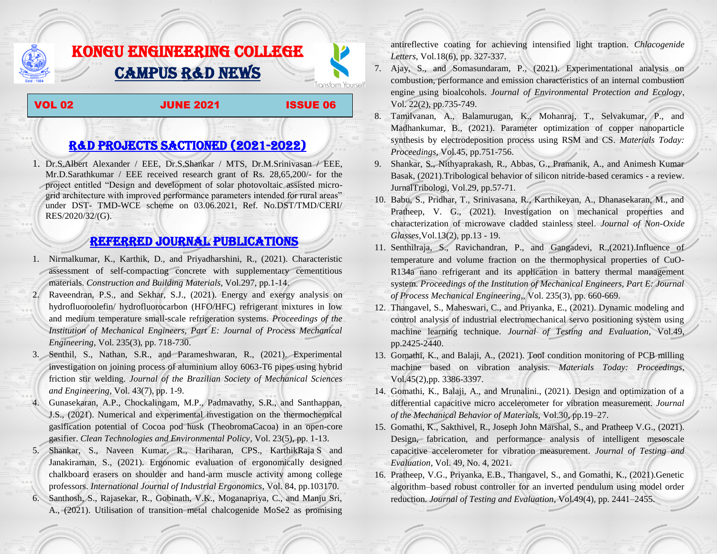## KONGU ENGINEERING COLLEGE CAMPUS R&D NEWS

VOL 02 JUNE 2021 ISSUE 06

Transform Yourself

## R&D PROJECTS SACTIONED (2021-2022)

1. Dr.S.Albert Alexander / EEE, Dr.S.Shankar / MTS, Dr.M.Srinivasan / EEE, Mr.D.Sarathkumar / EEE received research grant of Rs. 28,65,200/- for the project entitled "Design and development of solar photovoltaic assisted microgrid architecture with improved performance parameters intended for rural areas" under DST- TMD-WCE scheme on 03.06.2021, Ref. No.DST/TMD/CERI/ RES/2020/32/(G).

## Referred JOURNAL publications

- 1. Nirmalkumar, K., Karthik, D., and Priyadharshini, R., (2021). Characteristic assessment of self-compacting concrete with supplementary cementitious materials. *Construction and Building Materials*, Vol.297, pp.1-14.
- 2. Raveendran, P.S., and Sekhar, S.J., (2021). Energy and exergy analysis on hydrofluoroolefin/ hydrofluorocarbon (HFO/HFC) refrigerant mixtures in low and medium temperature small-scale refrigeration systems. *Proceedings of the Institution of Mechanical Engineers, Part E: Journal of Process Mechanical Engineering*, Vol. 235(3), pp. 718-730.
- 3. Senthil, S., Nathan, S.R., and Parameshwaran, R., (2021). Experimental investigation on joining process of aluminium alloy 6063-T6 pipes using hybrid friction stir welding. *Journal of the Brazilian Society of Mechanical Sciences and Engineering*, Vol. 43(7), pp. 1-9.
- 4. Gunasekaran, A.P., Chockalingam, M.P., Padmavathy, S.R., and Santhappan, J.S., (2021). Numerical and experimental investigation on the thermochemical gasification potential of Cocoa pod husk (TheobromaCacoa) in an open-core gasifier. *Clean Technologies and Environmental Policy*, Vol. 23(5), pp. 1-13.
- 5. Shankar, S., Naveen Kumar, R., [Hariharan, CPS.](https://www.sciencedirect.com/science/article/pii/S0169814121000883#!), [KarthikRaja](https://www.sciencedirect.com/science/article/pii/S0169814121000883#!) S and Janakiraman, S., (2021). Ergonomic evaluation of ergonomically designed chalkboard erasers on shoulder and hand-arm muscle activity among college professors. *International Journal of Industrial Ergonomics*, Vol. 84, pp.103170. 6. Santhosh, S., Rajasekar, R., Gobinath, V.K., Moganapriya, C., and Manju Sri, A., (2021). Utilisation of transition metal chalcogenide MoSe2 as promising

antireflective coating for achieving intensified light traption. *Chlacogenide Letters*, Vol.18(6), pp. 327-337.

- 7. Ajay, S., and Somasundaram, P., (2021). Experimentational analysis on combustion, performance and emission characteristics of an internal combustion engine using bioalcohols. *Journal of Environmental Protection and Ecology*, Vol. 22(2), pp.735-749.
- 8. Tamilvanan, A., Balamurugan, K., Mohanraj, T., Selvakumar, P., and Madhankumar, B., (2021). Parameter optimization of copper nanoparticle synthesis by electrodeposition process using RSM and CS. *Materials Today: Proceedings,* Vol.45, pp.751-756.
- 9. Shankar, S., Nithyaprakash, R., Abbas, G., Pramanik, A., and Animesh Kumar Basak, (2021).Tribological behavior of silicon nitride-based ceramics - a review. JurnalTribologi, Vol.29, pp.57-71.
- 10. Babu, S., Pridhar, T., Srinivasana, R., Karthikeyan, A., Dhanasekaran, M., and Pratheep, V. G., (2021). Investigation on mechanical properties and characterization of microwave cladded stainless steel. *Journal of Non-Oxide Glasses,*Vol.13(2), pp.13 - 19.
- 11. Senthilraja, S., Ravichandran, P., and Gangadevi, R.,(2021).Influence of temperature and volume fraction on the thermophysical properties of CuO-R134a nano refrigerant and its application in battery thermal management system. *Proceedings of the Institution of Mechanical Engineers, Part E: Journal of Process Mechanical Engineering*,, Vol. 235(3), pp. 660-669.
- 12. Thangavel, S., Maheswari, C., and Priyanka, E., (2021). Dynamic modeling and control analysis of industrial electromechanical servo positioning system using machine learning technique. *Journal of Testing and Evaluation*, Vol.49, pp.2425-2440.
- 13. Gomathi, K., and Balaji, A., (2021). Tool condition monitoring of PCB milling machine based on vibration analysis. *Materials Today: Proceedings*, Vol.45(2),pp. 3386-3397.
- 14. Gomathi, K., Balaji, A., and Mrunalini., (2021). Design and optimization of a differential capacitive micro accelerometer for vibration measurement*. Journal of the Mechanical Behavior of Materials,* Vol.30, pp.19–27.
- 15. Gomathi, K., Sakthivel, R., Joseph John Marshal, S., and Pratheep V.G., (2021). Design, fabrication, and performance analysis of intelligent mesoscale capacitive accelerometer for vibration measurement. *Journal of Testing and Evaluation*, Vol. 49, No. 4, 2021.
- 16. Pratheep, V.G., Priyanka, E.B., Thangavel, S., and Gomathi, K., (2021).Genetic algorithm–based robust controller for an inverted pendulum using model order reduction. *Journal of Testing and Evaluation*, Vol.49(4), pp. 2441–2455.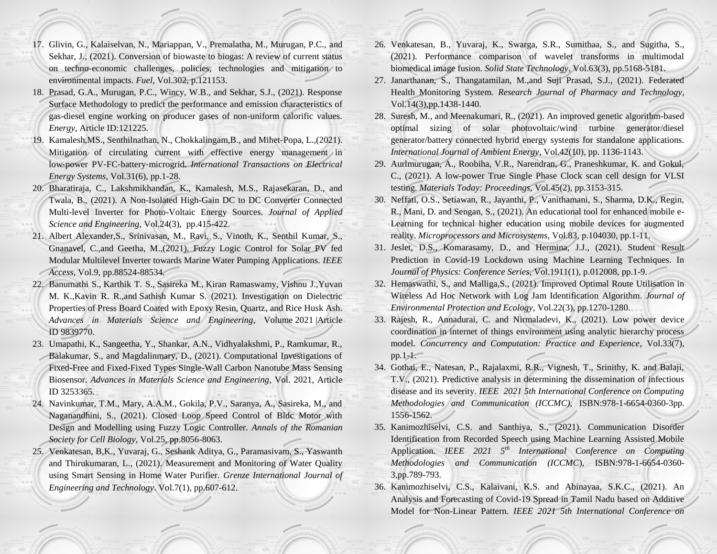- 17. Glivin, G., Kalaiselvan, N., Mariappan, V., Premalatha, M., Murugan, P.C., and Sekhar, J., (2021). Conversion of biowaste to biogas: A review of current status on techno-economic challenges, policies, technologies and mitigation to environmental impacts. *Fuel*, Vol.302, p.121153.
- 18. Prasad, G.A., Murugan, P.C., Wincy, W.B., and Sekhar, S.J., (2021). Response Surface Methodology to predict the performance and emission characteristics of gas-diesel engine working on producer gases of non-uniform calorific values. *Energy*, Article ID:121225.
- 19. Kamalesh,MS., Senthilnathan, N., Chokkalingam,B., and Mihet‐Popa, L.,(2021). Mitigation of circulating current with effective energy management in low‐power PV‐FC‐battery‐microgrid. *International Transactions on Electrical Energy Systems*, Vol.31(6), pp.1-28.
- 20. Bharatiraja, C., Lakshmikhandan, K., Kamalesh, M.S., Rajasekaran, D., and Twala, B., (2021). A Non-Isolated High-Gain DC to DC Converter Connected Multi-level Inverter for Photo-Voltaic Energy Sources. *Journal of Applied Science and Engineering,* Vol.24(3), pp.415-422.
- 21. Albert Alexander,S., Srinivasan, M., Ravi, S., Vinoth, K., Senthil Kumar, S., Gnanavel, C.,and Geetha, M.,(2021). Fuzzy Logic Control for Solar PV fed Modular Multilevel Inverter towards Marine Water Pumping Applications. *IEEE Access*, Vol.9, pp.88524-88534.
- 22. Banumathi S., Karthik T. S., Sasireka M., Kiran Ramaswamy, Vishnu J.,Yuvan M. K.,Kavin R. R.,and Sathish Kumar S. (2021). Investigation on Dielectric Properties of Press Board Coated with Epoxy Resin, Quartz, and Rice Husk Ash. *Advances in Materials Science and Engineering*, Volume 2021 |Article ID 9839770.
- 23. Umapathi, K., Sangeetha, Y., Shankar, A.N., Vidhyalakshmi, P., Ramkumar, R., Balakumar, S., and Magdalinmary, D., (2021). Computational Investigations of Fixed-Free and Fixed-Fixed Types Single-Wall Carbon Nanotube Mass Sensing Biosensor. *Advances in Materials Science and Engineering*, Vol. 2021, Article ID 3253365.
- 24. Navinkumar, T.M., Mary, A.A.M., Gokila, P.V., Saranya, A., Sasireka, M., and Naganandhini, S., (2021). Closed Loop Speed Control of Bldc Motor with Design and Modelling using Fuzzy Logic Controller. *Annals of the Romanian Society for Cell Biology*, Vol.25, pp.8056-8063.
- 25. Venkatesan, B,K., Yuvaraj, G., Seshank Aditya, G., Paramasivam, S., Yaswanth and Thirukumaran, L., (2021). Measurement and Monitoring of Water Quality using Smart Sensing in Home Water Purifier. *Grenze International Journal of Engineering and Technology*. Vol.7(1), pp.607-612.
- 26. Venkatesan, B., Yuvaraj, K., Swarga, S.R., Sumithaa, S., and Sugitha, S., (2021). Performance comparison of wavelet transforms in multimodal biomedical image fusion. *Solid State Technology*, Vol.63(3), pp.5168-5181.
- 27. Janarthanan, S., Thangatamilan, M.,and Suji Prasad, S.J., (2021). Federated Health Monitoring System*. Research Journal of Pharmacy and Technology*, Vol.14(3),pp.1438-1440.
- 28. Suresh, M., and Meenakumari, R., (2021). An improved genetic algorithm-based optimal sizing of solar photovoltaic/wind turbine generator/diesel generator/battery connected hybrid energy systems for standalone applications. *International Journal of Ambient Energy*, Vol.42(10), pp. 1136-1143.
- 29. Aurlmurugan, A., Roobiha, V.R., Narendran, G., Praneshkumar, K. and Gokul, C., (2021). A low-power True Single Phase Clock scan cell design for VLSI testing. *Materials Today: Proceedings*, Vol.45(2), pp.3153-315.
- 30. Neffati, O.S., Setiawan, R., Jayanthi, P., Vanithamani, S., Sharma, D.K., Regin, R., Mani, D. and Sengan, S., (2021). An educational tool for enhanced mobile e-Learning for technical higher education using mobile devices for augmented reality. *Microprocessors and Microsystems*, Vol.83, p.104030, pp.1-11.
- 31. Jeslet, D.S., Komarasamy, D., and Hermina, J.J., (2021). Student Result Prediction in Covid-19 Lockdown using Machine Learning Techniques. In *Journal of Physics: Conference Series*, Vol.1911(1), p.012008, pp.1-9.
- 32. Hemaswathi, S., and Malliga,S., (2021). Improved Optimal Route Utilisation in Wireless Ad Hoc Network with Log Jam Identification Algorithm. *Journal of Environmental Protection and Ecology*, Vol.22(3), pp.1270-1280.
- 33. Rajesh, R., Annadurai, C. and Nirmaladevi, K., (2021). Low power device coordination in internet of things environment using analytic hierarchy process model. *Concurrency and Computation: Practice and Experience*, Vol.33(7), pp.1-1.
- 34. Gothai, E., Natesan, P., Rajalaxmi, R.R., Vignesh, T., Srinithy, K. and Balaji, T.V., (2021). Predictive analysis in determining the dissemination of infectious disease and its severity. *IEEE 2021 5th International Conference on Computing Methodologies and Communication (ICCMC),* ISBN:978-1-6654-0360-3pp. 1556-1562.
- 35. Kanimozhiselvi, C.S. and Santhiya, S., (2021). Communication Disorder Identification from Recorded Speech using Machine Learning Assisted Mobile Application. *IEEE 2021 5th International Conference on Computing Methodologies and Communication (ICCMC*), ISBN:978-1-6654-0360- 3,pp.789-793.
- 36. Kanimozhiselvi, C.S., Kalaivani, K.S. and Abinayaa, S.K.C., (2021). An Analysis and Forecasting of Covid-19 Spread in Tamil Nadu based on Additive Model for Non-Linear Pattern*. IEEE 2021 5th International Conference on*